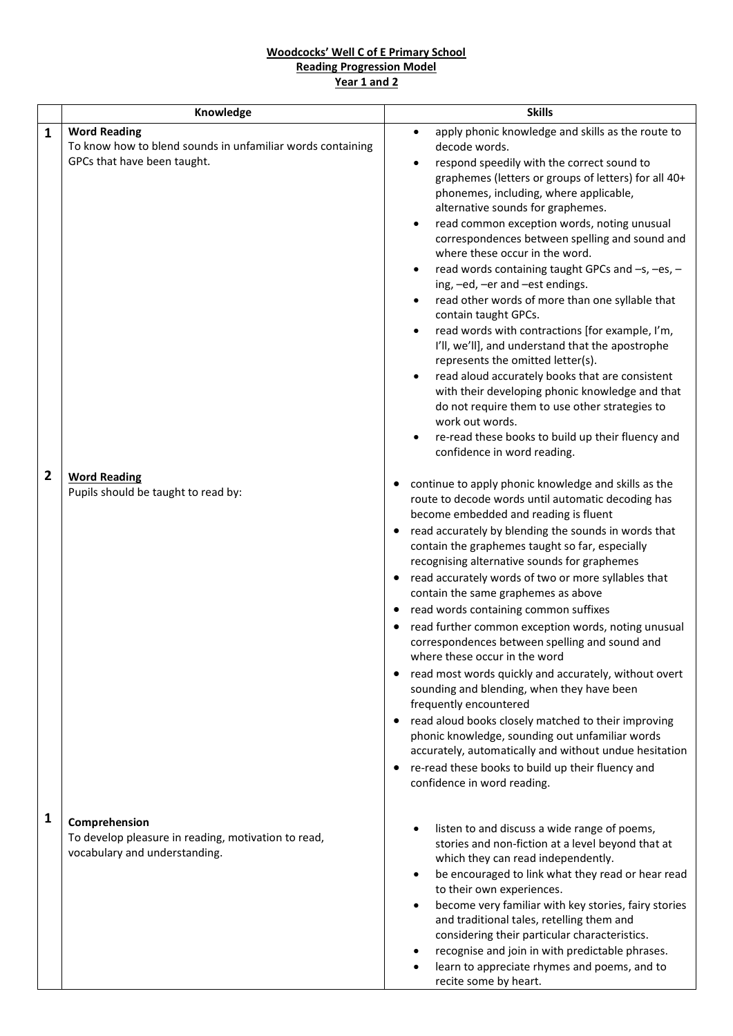## **Woodcocks' Well C of E Primary School Reading Progression Model Year 1 and 2**

|                | Knowledge                                                                                                        | <b>Skills</b>                                                                                                                                                                                                                                                                                                                                                                                                                                                                                                                                                                                                                                                                                                                                                                                                                                                                                                                                                                                                                                                                            |
|----------------|------------------------------------------------------------------------------------------------------------------|------------------------------------------------------------------------------------------------------------------------------------------------------------------------------------------------------------------------------------------------------------------------------------------------------------------------------------------------------------------------------------------------------------------------------------------------------------------------------------------------------------------------------------------------------------------------------------------------------------------------------------------------------------------------------------------------------------------------------------------------------------------------------------------------------------------------------------------------------------------------------------------------------------------------------------------------------------------------------------------------------------------------------------------------------------------------------------------|
| $\mathbf{1}$   | <b>Word Reading</b><br>To know how to blend sounds in unfamiliar words containing<br>GPCs that have been taught. | apply phonic knowledge and skills as the route to<br>$\bullet$<br>decode words.<br>respond speedily with the correct sound to<br>graphemes (letters or groups of letters) for all 40+<br>phonemes, including, where applicable,<br>alternative sounds for graphemes.<br>read common exception words, noting unusual<br>correspondences between spelling and sound and<br>where these occur in the word.<br>read words containing taught GPCs and -s, -es, -<br>ing, -ed, -er and -est endings.<br>read other words of more than one syllable that<br>contain taught GPCs.<br>read words with contractions [for example, I'm,<br>I'll, we'll], and understand that the apostrophe<br>represents the omitted letter(s).<br>read aloud accurately books that are consistent<br>with their developing phonic knowledge and that<br>do not require them to use other strategies to<br>work out words.<br>re-read these books to build up their fluency and                                                                                                                                    |
| $\overline{2}$ | <b>Word Reading</b><br>Pupils should be taught to read by:                                                       | confidence in word reading.<br>continue to apply phonic knowledge and skills as the<br>$\bullet$<br>route to decode words until automatic decoding has<br>become embedded and reading is fluent<br>read accurately by blending the sounds in words that<br>contain the graphemes taught so far, especially<br>recognising alternative sounds for graphemes<br>read accurately words of two or more syllables that<br>contain the same graphemes as above<br>read words containing common suffixes<br>$\bullet$<br>read further common exception words, noting unusual<br>correspondences between spelling and sound and<br>where these occur in the word<br>read most words quickly and accurately, without overt<br>$\bullet$<br>sounding and blending, when they have been<br>frequently encountered<br>read aloud books closely matched to their improving<br>$\bullet$<br>phonic knowledge, sounding out unfamiliar words<br>accurately, automatically and without undue hesitation<br>re-read these books to build up their fluency and<br>$\bullet$<br>confidence in word reading. |
| 1              | Comprehension<br>To develop pleasure in reading, motivation to read,<br>vocabulary and understanding.            | listen to and discuss a wide range of poems,<br>stories and non-fiction at a level beyond that at<br>which they can read independently.<br>be encouraged to link what they read or hear read<br>to their own experiences.<br>become very familiar with key stories, fairy stories<br>and traditional tales, retelling them and<br>considering their particular characteristics.<br>recognise and join in with predictable phrases.<br>learn to appreciate rhymes and poems, and to<br>recite some by heart.                                                                                                                                                                                                                                                                                                                                                                                                                                                                                                                                                                              |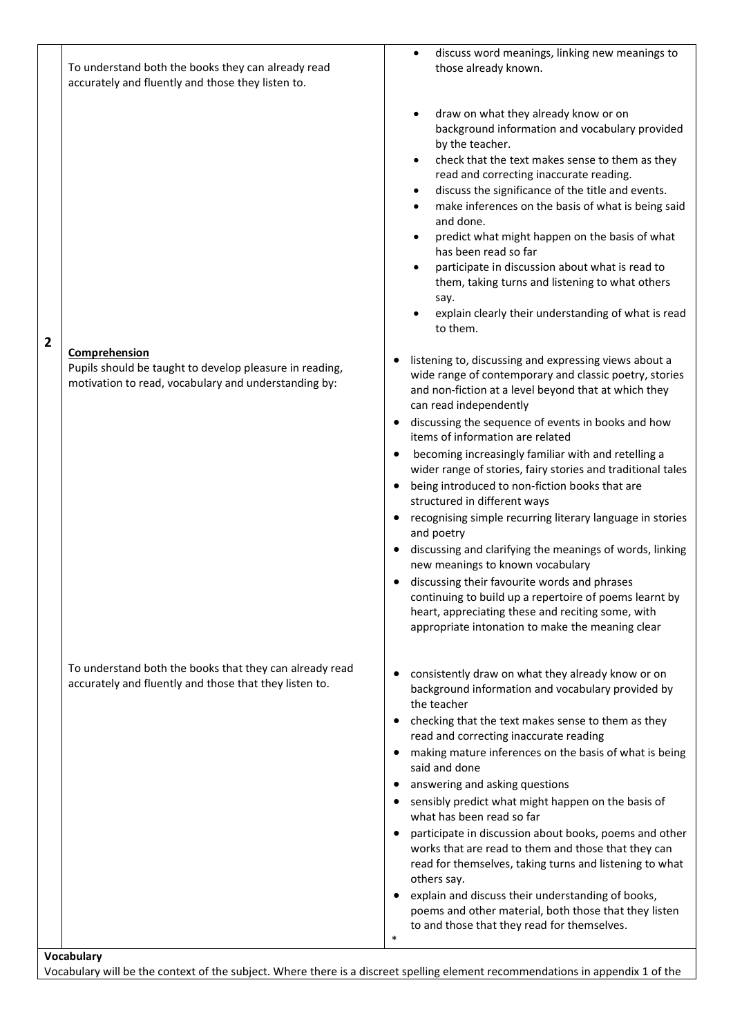|                         | To understand both the books they can already read<br>accurately and fluently and those they listen to.           | discuss word meanings, linking new meanings to<br>those already known.                                                                                                                                                                                                                                                                                                                                                                                                                                                                                                                                  |
|-------------------------|-------------------------------------------------------------------------------------------------------------------|---------------------------------------------------------------------------------------------------------------------------------------------------------------------------------------------------------------------------------------------------------------------------------------------------------------------------------------------------------------------------------------------------------------------------------------------------------------------------------------------------------------------------------------------------------------------------------------------------------|
| $\overline{\mathbf{2}}$ |                                                                                                                   | draw on what they already know or on<br>background information and vocabulary provided<br>by the teacher.<br>check that the text makes sense to them as they<br>read and correcting inaccurate reading.<br>discuss the significance of the title and events.<br>$\bullet$<br>make inferences on the basis of what is being said<br>and done.<br>predict what might happen on the basis of what<br>has been read so far<br>participate in discussion about what is read to<br>them, taking turns and listening to what others<br>say.<br>explain clearly their understanding of what is read<br>to them. |
|                         | Comprehension                                                                                                     |                                                                                                                                                                                                                                                                                                                                                                                                                                                                                                                                                                                                         |
|                         | Pupils should be taught to develop pleasure in reading,<br>motivation to read, vocabulary and understanding by:   | listening to, discussing and expressing views about a<br>wide range of contemporary and classic poetry, stories<br>and non-fiction at a level beyond that at which they<br>can read independently<br>discussing the sequence of events in books and how<br>items of information are related                                                                                                                                                                                                                                                                                                             |
|                         |                                                                                                                   | becoming increasingly familiar with and retelling a<br>٠                                                                                                                                                                                                                                                                                                                                                                                                                                                                                                                                                |
|                         |                                                                                                                   | wider range of stories, fairy stories and traditional tales                                                                                                                                                                                                                                                                                                                                                                                                                                                                                                                                             |
|                         |                                                                                                                   | being introduced to non-fiction books that are<br>structured in different ways                                                                                                                                                                                                                                                                                                                                                                                                                                                                                                                          |
|                         |                                                                                                                   | recognising simple recurring literary language in stories<br>and poetry                                                                                                                                                                                                                                                                                                                                                                                                                                                                                                                                 |
|                         |                                                                                                                   | discussing and clarifying the meanings of words, linking<br>new meanings to known vocabulary                                                                                                                                                                                                                                                                                                                                                                                                                                                                                                            |
|                         |                                                                                                                   | discussing their favourite words and phrases<br>continuing to build up a repertoire of poems learnt by<br>heart, appreciating these and reciting some, with<br>appropriate intonation to make the meaning clear                                                                                                                                                                                                                                                                                                                                                                                         |
|                         | To understand both the books that they can already read<br>accurately and fluently and those that they listen to. | consistently draw on what they already know or on<br>background information and vocabulary provided by<br>the teacher<br>checking that the text makes sense to them as they<br>read and correcting inaccurate reading                                                                                                                                                                                                                                                                                                                                                                                   |
|                         |                                                                                                                   | making mature inferences on the basis of what is being<br>said and done                                                                                                                                                                                                                                                                                                                                                                                                                                                                                                                                 |
|                         |                                                                                                                   | answering and asking questions<br>$\bullet$                                                                                                                                                                                                                                                                                                                                                                                                                                                                                                                                                             |
|                         |                                                                                                                   | sensibly predict what might happen on the basis of<br>what has been read so far                                                                                                                                                                                                                                                                                                                                                                                                                                                                                                                         |
|                         |                                                                                                                   | participate in discussion about books, poems and other                                                                                                                                                                                                                                                                                                                                                                                                                                                                                                                                                  |
|                         |                                                                                                                   | works that are read to them and those that they can<br>read for themselves, taking turns and listening to what<br>others say.                                                                                                                                                                                                                                                                                                                                                                                                                                                                           |
|                         |                                                                                                                   | explain and discuss their understanding of books,<br>$\bullet$<br>poems and other material, both those that they listen                                                                                                                                                                                                                                                                                                                                                                                                                                                                                 |
|                         |                                                                                                                   | to and those that they read for themselves.<br>$\ast$                                                                                                                                                                                                                                                                                                                                                                                                                                                                                                                                                   |

## **Vocabulary**

Vocabulary will be the context of the subject. Where there is a discreet spelling element recommendations in appendix 1 of the